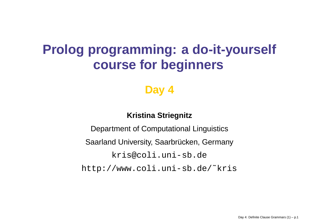# **Prolog programming: <sup>a</sup> do-it-yourself course for beginners**

### **Day 4**

#### **Kristina Striegnitz**

Department of Computational Linguistics Saarland University, Saarbrücken, Germany <kris@coli.uni-sb.de> [http://www.coli.uni-sb.de/˜kris](http://www.coli.uni-sb.de/~kris)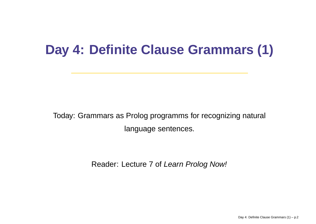# **Day 4: Definite Clause Grammars (1)**

Today: Grammars as Prolog programms for recognizing natural language sentences.

Reader: Lecture 7 of *Learn Prolog Now!*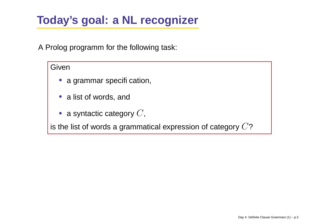## **Today's goal: <sup>a</sup> NL recognizer**

A Prolog programm for the following task:

#### Given

- a grammar specifi cation,
- a list of words, and
- $\bullet\,$  a syntactic category  $C,$

is the list of words a grammatical expression of category  $C$ ?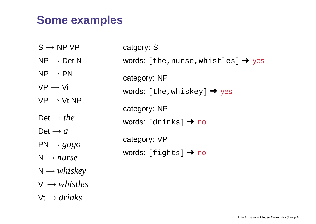### **Some examples**

| $S \rightarrow NP VP$                    | catgory: S                                       |
|------------------------------------------|--------------------------------------------------|
| $NP \rightarrow Det N$                   | words: [the, nurse, whistles] $\rightarrow$ yes  |
| $\mathsf{NP}\longrightarrow \mathsf{PN}$ | category: NP                                     |
| $VP \rightarrow Vi$                      | words: [the, whiskey] $\rightarrow$ yes          |
| $VP \rightarrow Vt NP$                   |                                                  |
| Det $\rightarrow$ the                    | category: NP<br>words: $[drinks] \rightarrow no$ |
| Det $\rightarrow$ a                      |                                                  |
| $PN \rightarrow gogo$                    | category: VP                                     |
| $N \rightarrow nurse$                    | words: [fights] $\rightarrow$ no                 |
| $N \rightarrow whiskey$                  |                                                  |
| $Vi \rightarrow whistles$                |                                                  |
| $Vt \rightarrow drifts$                  |                                                  |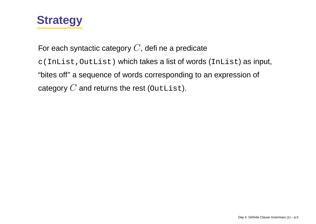

For each syntactic category  $C$ , defi ne a predicate c(InList,OutList) which takes <sup>a</sup> list of words (InList) as input, "bites off" a sequence of words corresponding to an expression of category  $C$  and returns the rest (OutList).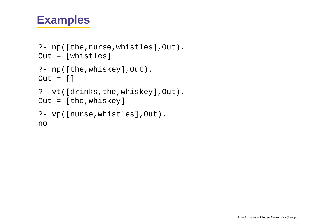### **Examples**

```
?- np([the,nurse,whistles],Out).
Out = [whistles]
?- np([the,whiskey],Out).
Out = []
?- vt([drinks,the,whiskey],Out).
Out = [the,whiskey]
?- vp([nurse,whistles],Out).
no
```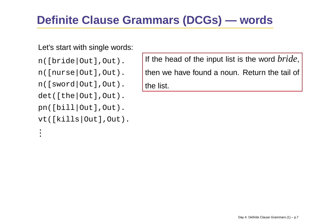## **Definite Clause Grammars (DCGs) — words**

#### Let's start with single words:

n([bride|Out],Out).

n([nurse|Out],Out).

```
n([sword|Out],Out).
```
det([the|Out],Out).

pn([bill|Out],Out).

```
vt([kills|Out],Out).
```
...

If the head of the input list is the word *bride*, then we have found a noun. Return the tail of the list.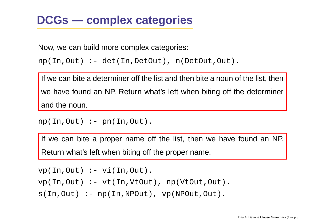### **DCGs — complex categories**

Now, we can build more complex categories:

```
np(In,Out) :- det(In,DetOut), n(DetOut,Out).
```
If we can bite <sup>a</sup> determiner off the list and then bite <sup>a</sup> noun of the list, then we have found an NP. Return what's left when biting off the determiner and the noun.

```
np(In, Out) :- pn(In, Out).
```
If we can bite <sup>a</sup> proper name off the list, then we have found an NP. Return what's left when biting off the proper name.

```
vp(In,Out) :- vi(In,Out).
vp(In,Out) :- vt(In,VtOut), np(VtOut,Out).
s(In, Out) :- np(In, NPOut), vp(NPOut, Out).
```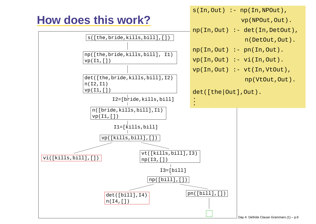## **How does this work?**

 $s(In, Out)$  :-  $np(In, NPOut)$ ,

vp(NPOut,Out).

np(In,Out) :- det(In,DetOut),

n(DetOut,Out).

np(In,Out) :- pn(In,Out).

 $vp(In,Out)$  :-  $vi(In,Out)$ .

vp(In,Out) :- vt(In,VtOut),

np(VtOut,Out).

det([the|Out],Out).



s([the,bride,kills,bill],[])

np([the,bride,kills,bill], I1)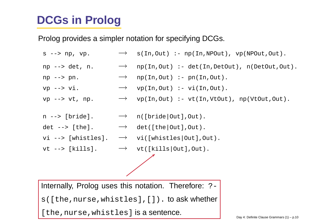## **DCGs in Prolog**

Prolog provides <sup>a</sup> simpler notation for specifying DCGs.

 $s \rightarrow p$ , vp.  $\rightarrow$  s(In,Out) :- np(In,NPOut), vp(NPOut,Out). np --> det, n.  $\longrightarrow$  np(In,Out) :- det(In,DetOut), n(DetOut,Out).  $np \rightarrow pn$ .  $\longrightarrow np(In,Out) \leftarrow pn(In,Out)$ . vp  $\rightarrow$  vi.  $\rightarrow$  vp(In,Out) :- vi(In,Out). vp  $\rightarrow$  vt, np.  $\rightarrow$  vp(In,Out) :- vt(In,VtOut), np(VtOut,Out). n --> [bride].  $\rightarrow$  n([bride|Out],Out).  $det \leftarrow > [the].$  $\rightarrow$  det([the|Out],Out). vi --> [whistles].  $\rightarrow$  vi([whistles|Out],Out). vt --> [kills].  $\qquad\quad\to\quad$  vt([kills|Out],Out). Internally, Prolog uses this notation. Therefore:  $?$ -

s([the,nurse,whistles],[]). to ask whether

[the, nurse, whistles] is a sentence.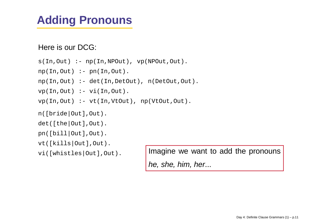### **Adding Pronouns**

Here is our DCG:

 $s(In, Out)$  :-  $np(In, NPOut)$ ,  $vp(NPOut, Out)$ .

 $np(In, Out) :- pn(In, Out)$ .

np(In,Out) :- det(In,DetOut), n(DetOut,Out).

 $vp(In,Out)$  :-  $vi(In,Out)$ .

 $vp(In,Out)$  :-  $vt(In,VtOut)$ ,  $np(VtOut,Out)$ .

n([bride|Out],Out).

det([the|Out],Out).

pn([bill|Out],Out).

vt([kills|Out],Out).

vi([whistles|Out],Out). Imagine we want to add the pronouns

he, she, him, her...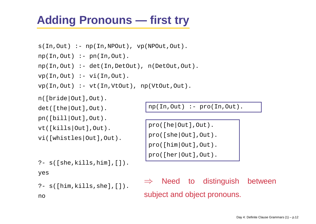## **Adding Pronouns — first try**

```
s(In, Out) :- np(In, NPOut), vp(NPOut, Out).
np(In,Out) :- pn(In,Out).
np(In,Out) :- det(In,DetOut), n(DetOut,Out).
vp(In,Out) :- vi(In,Out).
vp(In,Out) :- vt(In,VtOut), np(VtOut,Out).
```
n([bride|Out],Out).

det([the|Out],Out).

pn([bill|Out],Out).

vt([kills|Out],Out).

vi([whistles|Out],Out).

?- s([she,kills,him],[]).

```
yes
```
no

```
?- s([him,kills,she],[]).
```
np(In,Out) :- pro(In,Out).

```
pro([he|Out],Out).
pro([she|Out],Out).
pro([him|Out],Out).
pro([her|Out],Out).
```
 $\Rightarrow$  Need to distinguish between subject and object pronouns.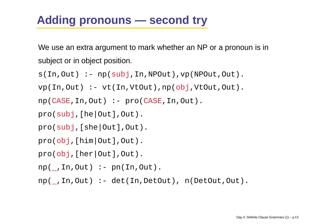## **Adding pronouns — second try**

We use an extra argument to mark whether an NP or <sup>a</sup> pronoun is in subject or in object position.

```
s(In, Out): - np(subj, In, NPOut), vp(NPOut, Out).
vp(In,Out) :- vt(In,VtOut),np(obj,VtOut,Out).
np(CASE,In,Out) :- pro(CASE,In,Out).
pro(subj,[he|Out],Out).
pro(subj,[she|Out],Out).
pro(obj,[him|Out],Out).
pro(obj,[her|Out],Out).
np(,In,Out) :- pn(In,Out).
np( ,In,Out) :- det(In,DetOut), n(DetOut,Out).
```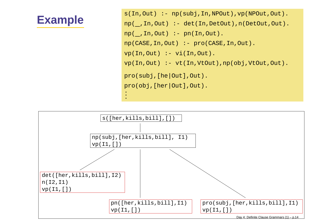### **Example**

s(In,Out) :- np(subj,In,NPOut),vp(NPOut,Out). np( ,In,Out) :- det(In,DetOut),n(DetOut,Out). np( ,In,Out) :- pn(In,Out). np(CASE,In,Out) :- pro(CASE,In,Out). vp(In,Out) :- vi(In,Out). vp(In,Out) :- vt(In,VtOut),np(obj,VtOut,Out). pro(subj,[he|Out],Out). pro(obj,[her|Out],Out). ...

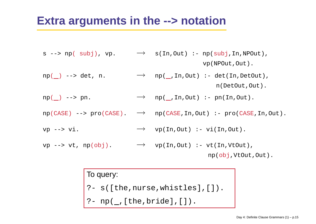### **Extra arguments in the --> notation**

- s --> np( subj), vp. → s(In,Out) :- np(subj,In,NPOut), vp(NPOut,Out).
- $np( ) \rightarrow$  det, n.  $\rightarrow$  np( ,In,Out) :- det(In,DetOut), n(DetOut,Out).
- $np( ) \rightarrow pn.$   $\longrightarrow np( ,In,Out) :- pn( In,Out).$
- $np(CASE) \rightarrow pro(CASE)$ .  $\rightarrow$   $np(CASE, In, Out)$ :  $prop(CASE, In, Out)$ .
- vp  $\rightarrow$  vi.  $\rightarrow$  vp(In,Out) :- vi(In,Out).
- vp --> vt,  $np(obj)$ .  $\longrightarrow$  vp(In,Out) :- vt(In,VtOut),

np(obj,VtOut,Out).

To query:

?- s([the,nurse,whistles],[]).

?- np(\_,[the,bride],[]).